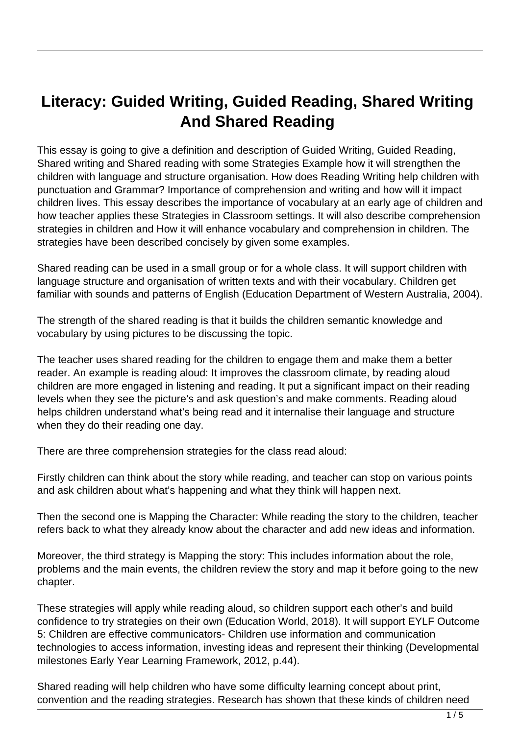## **Literacy: Guided Writing, Guided Reading, Shared Writing And Shared Reading**

This essay is going to give a definition and description of Guided Writing, Guided Reading, Shared writing and Shared reading with some Strategies Example how it will strengthen the children with language and structure organisation. How does Reading Writing help children with punctuation and Grammar? Importance of comprehension and writing and how will it impact children lives. This essay describes the importance of vocabulary at an early age of children and how teacher applies these Strategies in Classroom settings. It will also describe comprehension strategies in children and How it will enhance vocabulary and comprehension in children. The strategies have been described concisely by given some examples.

Shared reading can be used in a small group or for a whole class. It will support children with language structure and organisation of written texts and with their vocabulary. Children get familiar with sounds and patterns of English (Education Department of Western Australia, 2004).

The strength of the shared reading is that it builds the children semantic knowledge and vocabulary by using pictures to be discussing the topic.

The teacher uses shared reading for the children to engage them and make them a better reader. An example is reading aloud: It improves the classroom climate, by reading aloud children are more engaged in listening and reading. It put a significant impact on their reading levels when they see the picture's and ask question's and make comments. Reading aloud helps children understand what's being read and it internalise their language and structure when they do their reading one day.

There are three comprehension strategies for the class read aloud:

Firstly children can think about the story while reading, and teacher can stop on various points and ask children about what's happening and what they think will happen next.

Then the second one is Mapping the Character: While reading the story to the children, teacher refers back to what they already know about the character and add new ideas and information.

Moreover, the third strategy is Mapping the story: This includes information about the role, problems and the main events, the children review the story and map it before going to the new chapter.

These strategies will apply while reading aloud, so children support each other's and build confidence to try strategies on their own (Education World, 2018). It will support EYLF Outcome 5: Children are effective communicators- Children use information and communication technologies to access information, investing ideas and represent their thinking (Developmental milestones Early Year Learning Framework, 2012, p.44).

Shared reading will help children who have some difficulty learning concept about print, convention and the reading strategies. Research has shown that these kinds of children need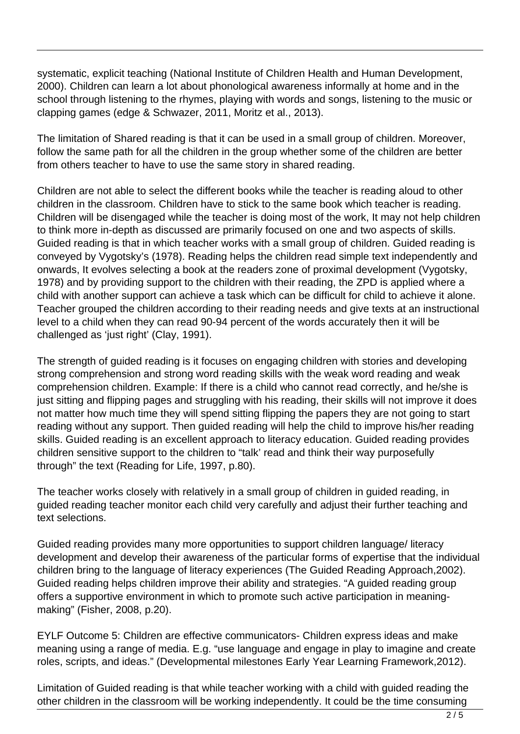systematic, explicit teaching (National Institute of Children Health and Human Development, 2000). Children can learn a lot about phonological awareness informally at home and in the school through listening to the rhymes, playing with words and songs, listening to the music or clapping games (edge & Schwazer, 2011, Moritz et al., 2013).

The limitation of Shared reading is that it can be used in a small group of children. Moreover, follow the same path for all the children in the group whether some of the children are better from others teacher to have to use the same story in shared reading.

Children are not able to select the different books while the teacher is reading aloud to other children in the classroom. Children have to stick to the same book which teacher is reading. Children will be disengaged while the teacher is doing most of the work, It may not help children to think more in-depth as discussed are primarily focused on one and two aspects of skills. Guided reading is that in which teacher works with a small group of children. Guided reading is conveyed by Vygotsky's (1978). Reading helps the children read simple text independently and onwards, It evolves selecting a book at the readers zone of proximal development (Vygotsky, 1978) and by providing support to the children with their reading, the ZPD is applied where a child with another support can achieve a task which can be difficult for child to achieve it alone. Teacher grouped the children according to their reading needs and give texts at an instructional level to a child when they can read 90-94 percent of the words accurately then it will be challenged as 'just right' (Clay, 1991).

The strength of guided reading is it focuses on engaging children with stories and developing strong comprehension and strong word reading skills with the weak word reading and weak comprehension children. Example: If there is a child who cannot read correctly, and he/she is just sitting and flipping pages and struggling with his reading, their skills will not improve it does not matter how much time they will spend sitting flipping the papers they are not going to start reading without any support. Then guided reading will help the child to improve his/her reading skills. Guided reading is an excellent approach to literacy education. Guided reading provides children sensitive support to the children to "talk' read and think their way purposefully through" the text (Reading for Life, 1997, p.80).

The teacher works closely with relatively in a small group of children in guided reading, in guided reading teacher monitor each child very carefully and adjust their further teaching and text selections.

Guided reading provides many more opportunities to support children language/ literacy development and develop their awareness of the particular forms of expertise that the individual children bring to the language of literacy experiences (The Guided Reading Approach,2002). Guided reading helps children improve their ability and strategies. "A guided reading group offers a supportive environment in which to promote such active participation in meaningmaking" (Fisher, 2008, p.20).

EYLF Outcome 5: Children are effective communicators- Children express ideas and make meaning using a range of media. E.g. "use language and engage in play to imagine and create roles, scripts, and ideas." (Developmental milestones Early Year Learning Framework,2012).

Limitation of Guided reading is that while teacher working with a child with guided reading the other children in the classroom will be working independently. It could be the time consuming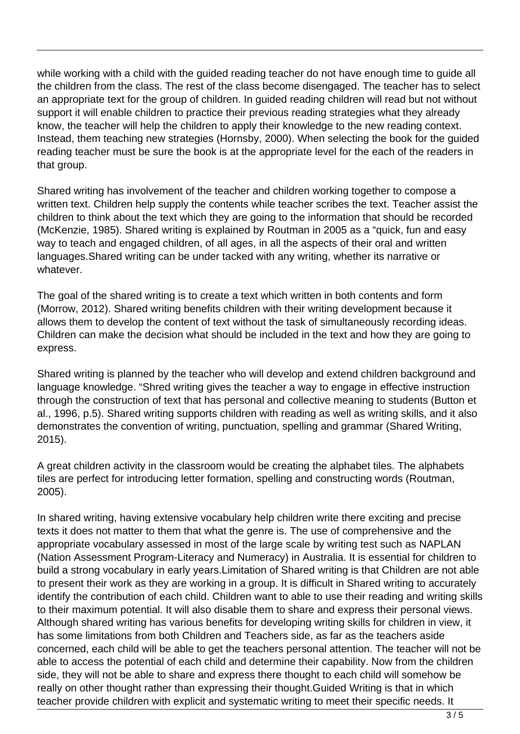while working with a child with the guided reading teacher do not have enough time to guide all the children from the class. The rest of the class become disengaged. The teacher has to select an appropriate text for the group of children. In guided reading children will read but not without support it will enable children to practice their previous reading strategies what they already know, the teacher will help the children to apply their knowledge to the new reading context. Instead, them teaching new strategies (Hornsby, 2000). When selecting the book for the guided reading teacher must be sure the book is at the appropriate level for the each of the readers in that group.

Shared writing has involvement of the teacher and children working together to compose a written text. Children help supply the contents while teacher scribes the text. Teacher assist the children to think about the text which they are going to the information that should be recorded (McKenzie, 1985). Shared writing is explained by Routman in 2005 as a "quick, fun and easy way to teach and engaged children, of all ages, in all the aspects of their oral and written languages.Shared writing can be under tacked with any writing, whether its narrative or whatever.

The goal of the shared writing is to create a text which written in both contents and form (Morrow, 2012). Shared writing benefits children with their writing development because it allows them to develop the content of text without the task of simultaneously recording ideas. Children can make the decision what should be included in the text and how they are going to express.

Shared writing is planned by the teacher who will develop and extend children background and language knowledge. "Shred writing gives the teacher a way to engage in effective instruction through the construction of text that has personal and collective meaning to students (Button et al., 1996, p.5). Shared writing supports children with reading as well as writing skills, and it also demonstrates the convention of writing, punctuation, spelling and grammar (Shared Writing, 2015).

A great children activity in the classroom would be creating the alphabet tiles. The alphabets tiles are perfect for introducing letter formation, spelling and constructing words (Routman, 2005).

In shared writing, having extensive vocabulary help children write there exciting and precise texts it does not matter to them that what the genre is. The use of comprehensive and the appropriate vocabulary assessed in most of the large scale by writing test such as NAPLAN (Nation Assessment Program-Literacy and Numeracy) in Australia. It is essential for children to build a strong vocabulary in early years.Limitation of Shared writing is that Children are not able to present their work as they are working in a group. It is difficult in Shared writing to accurately identify the contribution of each child. Children want to able to use their reading and writing skills to their maximum potential. It will also disable them to share and express their personal views. Although shared writing has various benefits for developing writing skills for children in view, it has some limitations from both Children and Teachers side, as far as the teachers aside concerned, each child will be able to get the teachers personal attention. The teacher will not be able to access the potential of each child and determine their capability. Now from the children side, they will not be able to share and express there thought to each child will somehow be really on other thought rather than expressing their thought.Guided Writing is that in which teacher provide children with explicit and systematic writing to meet their specific needs. It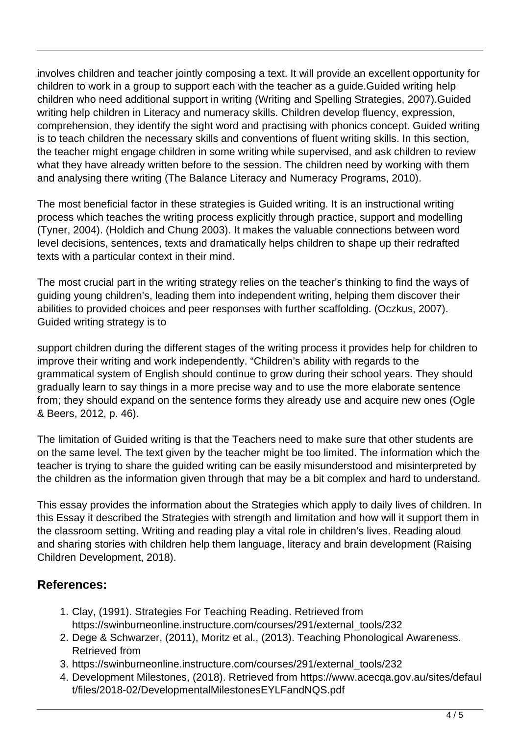involves children and teacher jointly composing a text. It will provide an excellent opportunity for children to work in a group to support each with the teacher as a guide.Guided writing help children who need additional support in writing (Writing and Spelling Strategies, 2007).Guided writing help children in Literacy and numeracy skills. Children develop fluency, expression, comprehension, they identify the sight word and practising with phonics concept. Guided writing is to teach children the necessary skills and conventions of fluent writing skills. In this section, the teacher might engage children in some writing while supervised, and ask children to review what they have already written before to the session. The children need by working with them and analysing there writing (The Balance Literacy and Numeracy Programs, 2010).

The most beneficial factor in these strategies is Guided writing. It is an instructional writing process which teaches the writing process explicitly through practice, support and modelling (Tyner, 2004). (Holdich and Chung 2003). It makes the valuable connections between word level decisions, sentences, texts and dramatically helps children to shape up their redrafted texts with a particular context in their mind.

The most crucial part in the writing strategy relies on the teacher's thinking to find the ways of guiding young children's, leading them into independent writing, helping them discover their abilities to provided choices and peer responses with further scaffolding. (Oczkus, 2007). Guided writing strategy is to

support children during the different stages of the writing process it provides help for children to improve their writing and work independently. "Children's ability with regards to the grammatical system of English should continue to grow during their school years. They should gradually learn to say things in a more precise way and to use the more elaborate sentence from; they should expand on the sentence forms they already use and acquire new ones (Ogle & Beers, 2012, p. 46).

The limitation of Guided writing is that the Teachers need to make sure that other students are on the same level. The text given by the teacher might be too limited. The information which the teacher is trying to share the guided writing can be easily misunderstood and misinterpreted by the children as the information given through that may be a bit complex and hard to understand.

This essay provides the information about the Strategies which apply to daily lives of children. In this Essay it described the Strategies with strength and limitation and how will it support them in the classroom setting. Writing and reading play a vital role in children's lives. Reading aloud and sharing stories with children help them language, literacy and brain development (Raising Children Development, 2018).

## **References:**

- 1. Clay, (1991). Strategies For Teaching Reading. Retrieved from https://swinburneonline.instructure.com/courses/291/external\_tools/232
- 2. Dege & Schwarzer, (2011), Moritz et al., (2013). Teaching Phonological Awareness. Retrieved from
- 3. https://swinburneonline.instructure.com/courses/291/external\_tools/232
- 4. Development Milestones, (2018). Retrieved from https://www.acecqa.gov.au/sites/defaul t/files/2018-02/DevelopmentalMilestonesEYLFandNQS.pdf